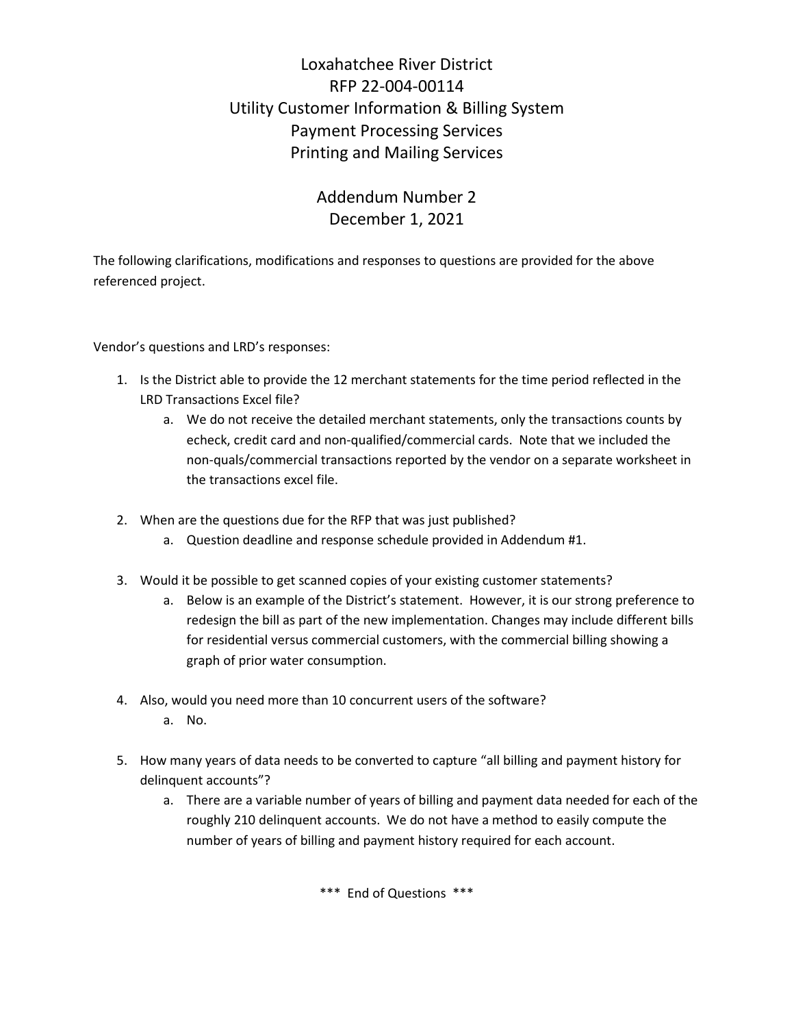# Loxahatchee River District RFP 22-004-00114 Utility Customer Information & Billing System Payment Processing Services Printing and Mailing Services

## Addendum Number 2 December 1, 2021

The following clarifications, modifications and responses to questions are provided for the above referenced project.

Vendor's questions and LRD's responses:

- 1. Is the District able to provide the 12 merchant statements for the time period reflected in the LRD Transactions Excel file?
	- a. We do not receive the detailed merchant statements, only the transactions counts by echeck, credit card and non-qualified/commercial cards. Note that we included the non-quals/commercial transactions reported by the vendor on a separate worksheet in the transactions excel file.
- 2. When are the questions due for the RFP that was just published?
	- a. Question deadline and response schedule provided in Addendum #1.
- 3. Would it be possible to get scanned copies of your existing customer statements?
	- a. Below is an example of the District's statement. However, it is our strong preference to redesign the bill as part of the new implementation. Changes may include different bills for residential versus commercial customers, with the commercial billing showing a graph of prior water consumption.
- 4. Also, would you need more than 10 concurrent users of the software? a. No.
- 5. How many years of data needs to be converted to capture "all billing and payment history for delinquent accounts"?
	- a. There are a variable number of years of billing and payment data needed for each of the roughly 210 delinquent accounts. We do not have a method to easily compute the number of years of billing and payment history required for each account.

\*\*\* End of Questions \*\*\*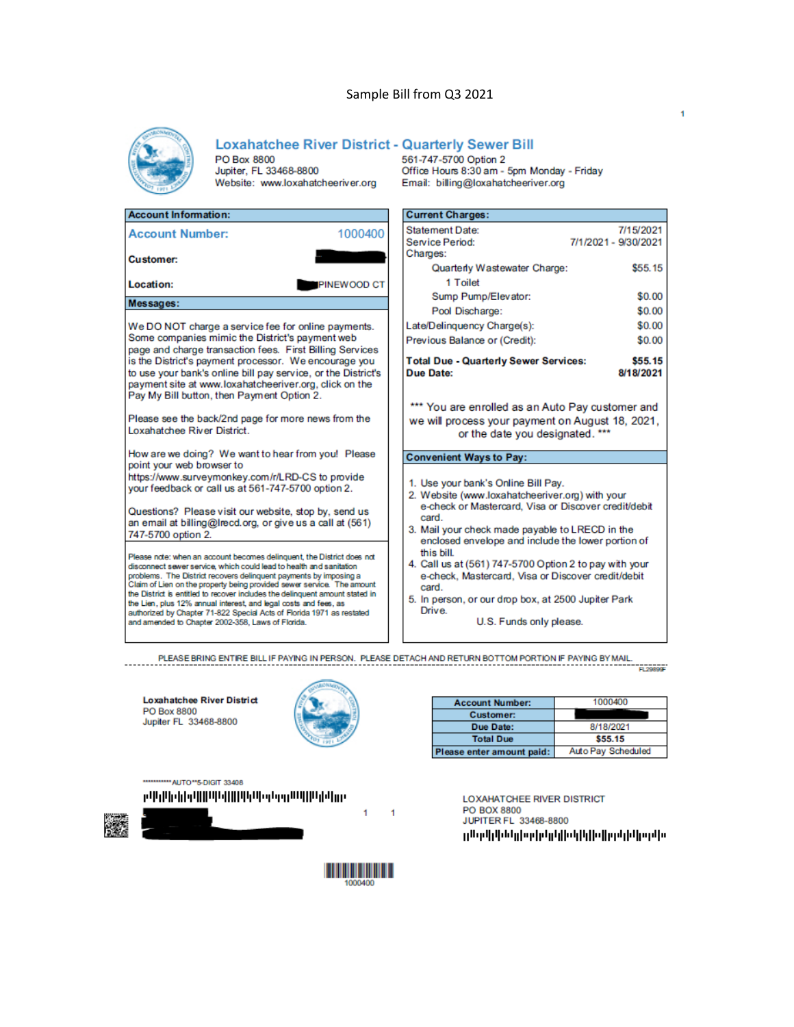### Sample Bill from Q3 2021



### **Loxahatchee River District - Quarterly Sewer Bill**

PO Box 8800 Jupiter, FL 33468-8800 Website: www.loxahatcheeriver.org

| <b>Account Information:</b>                                            |                    | <b>Current Charges:</b>                 |
|------------------------------------------------------------------------|--------------------|-----------------------------------------|
| <b>Account Number:</b>                                                 | 1000400            | <b>Statement Date:</b>                  |
|                                                                        |                    | Service Period:                         |
| <b>Customer:</b>                                                       |                    | Charges:                                |
|                                                                        |                    | Quarterly Wastewa                       |
| Location:                                                              | <b>PINEWOOD CT</b> | 1 Toilet                                |
|                                                                        |                    | Sump Pump/Eleva                         |
| Messages:                                                              |                    | Pool Discharge:                         |
| We DO NOT charge a service fee for online payments.                    |                    | Late/Delinquency Charge                 |
| Some companies mimic the District's payment web                        |                    | Previous Balance or (Cre                |
| page and charge transaction fees. First Billing Services               |                    |                                         |
| is the District's payment processor. We encourage you                  |                    | <b>Total Due - Quarterly S</b>          |
| to use your bank's online bill pay service, or the District's          |                    | Due Date:                               |
| payment site at www.loxahatcheeriver.org, click on the                 |                    |                                         |
| Pay My Bill button, then Payment Option 2.                             |                    | *** You are enrolled a                  |
| Please see the back/2nd page for more news from the                    |                    |                                         |
| Loxabatchee River District                                             |                    | we will process your p<br>or the date   |
|                                                                        |                    |                                         |
| How are we doing? We want to hear from you! Please                     |                    | <b>Convenient Ways to Pa</b>            |
| point your web browser to                                              |                    |                                         |
| https://www.surveymonkey.com/r/LRD-CS to provide                       |                    | 1. Use your bank's Onlir                |
| your feedback or call us at 561-747-5700 option 2.                     |                    | 2. Website (www.loxaha                  |
| Questions? Please visit our website, stop by, send us                  |                    | e-check or Mastercar                    |
| an email at billing@lrecd.org, or give us a call at (561)              |                    | card.                                   |
| 747-5700 option 2.                                                     |                    | 3. Mail your check made                 |
|                                                                        |                    | enclosed envelope ar<br>this bill.      |
| Please note: when an account becomes delinguent, the District does not |                    | $\lambda$ Call $\lambda$ at (EQA) 747 E |

disconnect sewer service, which could lead to health and sanitation problems. The District recovers delinquent payments by imposing a<br>Claim of Lien on the property being provided sewer service. The amount the District is entitled to recover includes the delinquent amount stated in<br>the Lien, plus 12% annual interest, and legal costs and fees, as authorized by Chapter 71-822 Special Acts of Florida 1971 as restated and amended to Chapter 2002-358, Laws of Florida.

561-747-5700 Option 2 Office Hours 8:30 am - 5pm Monday - Friday Email: billing@loxahatcheeriver.org

| <b>Current Charges:</b>                                                                                                                |                      |  |  |
|----------------------------------------------------------------------------------------------------------------------------------------|----------------------|--|--|
| <b>Statement Date:</b>                                                                                                                 | 7/15/2021            |  |  |
| Service Period:                                                                                                                        | 7/1/2021 - 9/30/2021 |  |  |
| Charges:                                                                                                                               |                      |  |  |
| Quarterly Wastewater Charge:                                                                                                           | \$55.15              |  |  |
| 1 Toilet                                                                                                                               |                      |  |  |
| Sump Pump/Elevator:                                                                                                                    | \$0.00               |  |  |
| Pool Discharge:                                                                                                                        | \$0.00               |  |  |
| Late/Delinquency Charge(s):                                                                                                            | \$0.00               |  |  |
| Previous Balance or (Credit):                                                                                                          | \$0.00               |  |  |
| <b>Total Due - Quarterly Sewer Services:</b>                                                                                           | \$55.15              |  |  |
| <b>Due Date:</b>                                                                                                                       | 8/18/2021            |  |  |
| ** You are enrolled as an Auto Pay customer and<br>we will process your payment on August 18, 2021,<br>or the date you designated. *** |                      |  |  |
| <b>Convenient Ways to Pay:</b>                                                                                                         |                      |  |  |
| 1. Use your bank's Online Bill Pay.                                                                                                    |                      |  |  |
| 2. Website (www.loxahatcheeriver.org) with your                                                                                        |                      |  |  |
| e-check or Mastercard. Visa or Discover credit/debit<br>card.                                                                          |                      |  |  |
| 3. Mail your check made payable to LRECD in the                                                                                        |                      |  |  |
| enclosed envelope and include the lower portion of<br>this bill.                                                                       |                      |  |  |
| 4. Call us at (561) 747-5700 Option 2 to pay with your                                                                                 |                      |  |  |
| e-check, Mastercard, Visa or Discover credit/debit                                                                                     |                      |  |  |
| card.                                                                                                                                  |                      |  |  |

5. In person, or our drop box, at 2500 Jupiter Park Drive.

U.S. Funds only please.

PLEASE BRING ENTIRE BILL IF PAYING IN PERSON. PLEASE DETACH AND RETURN BOTTOM PORTION IF PAYING BY MAIL. FL29899F

**Loxahatchee River District** PO Box 8800 Jupiter FL 33468-8800



| <b>Account Number:</b>    | 1000400            |
|---------------------------|--------------------|
| <b>Customer:</b>          |                    |
| Due Date:                 | 8/18/2021          |
| <b>Total Due</b>          | \$55.15            |
| Please enter amount paid: | Auto Pay Scheduled |

\*\*\*\*\*\*\*\*\*\*\* AUTO\*\*5-DIGIT 33408 ր Մերքեր կերքի կարող կարող երկան կարող երկրությունները կարող երկրությունները կարող երկրությունները կ





**IIII III III** 

LOXAHATCHEE RIVER DISTRICT PO BOX 8800 JUPITER FL 33468-8800 յլԱգվլկենըիզգինըկինիկիվիցինիզգին